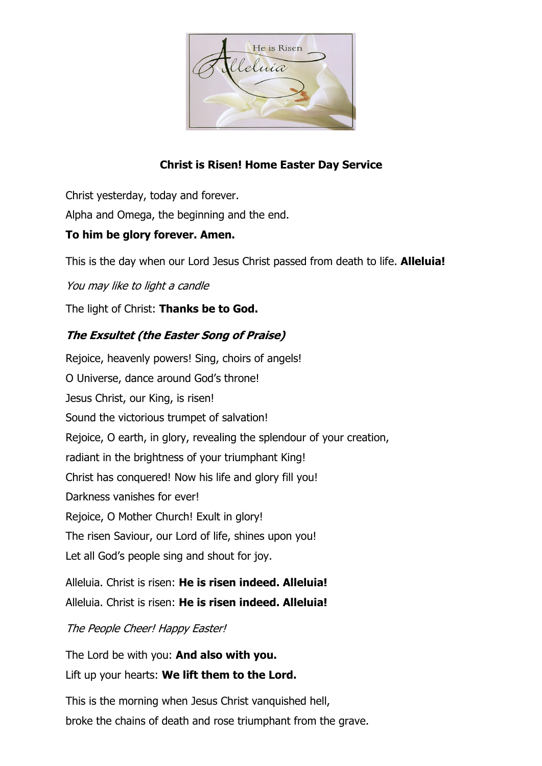

# **Christ is Risen! Home Easter Day Service**

Christ yesterday, today and forever.

Alpha and Omega, the beginning and the end.

### **To him be glory forever. Amen.**

This is the day when our Lord Jesus Christ passed from death to life. **Alleluia!**

You may like to light a candle

The light of Christ: **Thanks be to God.**

# **The Exsultet (the Easter Song of Praise)**

Rejoice, heavenly powers! Sing, choirs of angels! O Universe, dance around God's throne! Jesus Christ, our King, is risen! Sound the victorious trumpet of salvation! Rejoice, O earth, in glory, revealing the splendour of your creation, radiant in the brightness of your triumphant King! Christ has conquered! Now his life and glory fill you! Darkness vanishes for ever! Rejoice, O Mother Church! Exult in glory! The risen Saviour, our Lord of life, shines upon you! Let all God's people sing and shout for joy.

Alleluia. Christ is risen: **He is risen indeed. Alleluia!**  Alleluia. Christ is risen: **He is risen indeed. Alleluia!** 

### The People Cheer! Happy Easter!

The Lord be with you: **And also with you.** Lift up your hearts: **We lift them to the Lord.**

This is the morning when Jesus Christ vanquished hell, broke the chains of death and rose triumphant from the grave.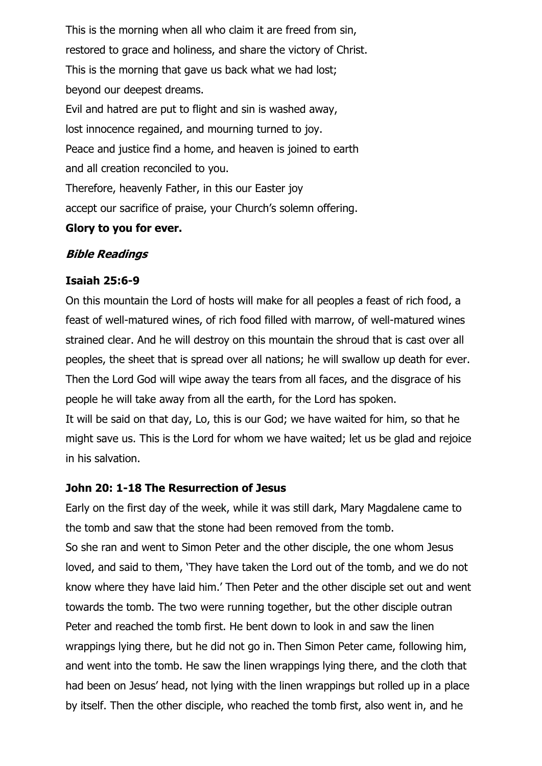This is the morning when all who claim it are freed from sin, restored to grace and holiness, and share the victory of Christ. This is the morning that gave us back what we had lost; beyond our deepest dreams. Evil and hatred are put to flight and sin is washed away, lost innocence regained, and mourning turned to joy. Peace and justice find a home, and heaven is joined to earth and all creation reconciled to you. Therefore, heavenly Father, in this our Easter joy accept our sacrifice of praise, your Church's solemn offering.

### **Glory to you for ever.**

#### **Bible Readings**

#### **Isaiah 25:6-9**

On this mountain the Lord of hosts will make for all peoples a feast of rich food, a feast of well-matured wines, of rich food filled with marrow, of well-matured wines strained clear. And he will destroy on this mountain the shroud that is cast over all peoples, the sheet that is spread over all nations; he will swallow up death for ever. Then the Lord God will wipe away the tears from all faces, and the disgrace of his people he will take away from all the earth, for the Lord has spoken.

It will be said on that day, Lo, this is our God; we have waited for him, so that he might save us. This is the Lord for whom we have waited; let us be glad and rejoice in his salvation.

#### **John 20: 1-18 The Resurrection of Jesus**

Early on the first day of the week, while it was still dark, Mary Magdalene came to the tomb and saw that the stone had been removed from the tomb. So she ran and went to Simon Peter and the other disciple, the one whom Jesus loved, and said to them, 'They have taken the Lord out of the tomb, and we do not know where they have laid him.' Then Peter and the other disciple set out and went towards the tomb. The two were running together, but the other disciple outran Peter and reached the tomb first. He bent down to look in and saw the linen wrappings lying there, but he did not go in. Then Simon Peter came, following him, and went into the tomb. He saw the linen wrappings lying there, and the cloth that had been on Jesus' head, not lying with the linen wrappings but rolled up in a place by itself. Then the other disciple, who reached the tomb first, also went in, and he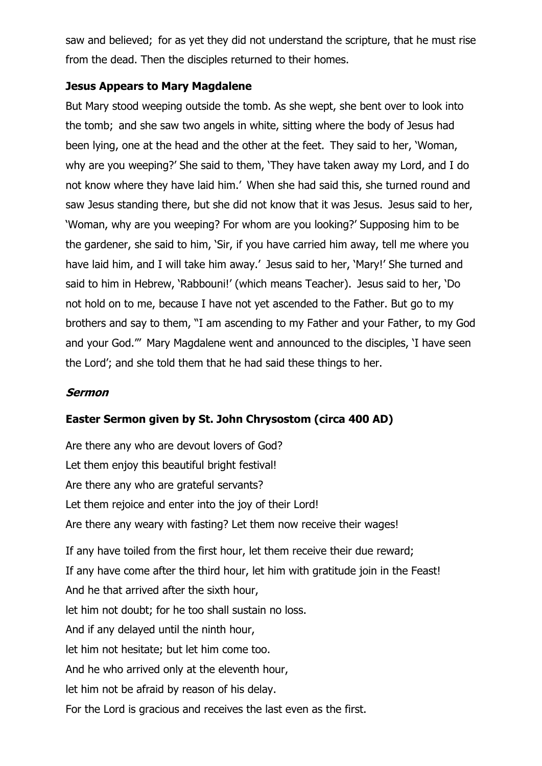saw and believed; for as yet they did not understand the scripture, that he must rise from the dead. Then the disciples returned to their homes.

#### **Jesus Appears to Mary Magdalene**

But Mary stood weeping outside the tomb. As she wept, she bent over to look into the tomb; and she saw two angels in white, sitting where the body of Jesus had been lying, one at the head and the other at the feet. They said to her, 'Woman, why are you weeping?' She said to them, 'They have taken away my Lord, and I do not know where they have laid him.' When she had said this, she turned round and saw Jesus standing there, but she did not know that it was Jesus. Jesus said to her, 'Woman, why are you weeping? For whom are you looking?' Supposing him to be the gardener, she said to him, 'Sir, if you have carried him away, tell me where you have laid him, and I will take him away.' Jesus said to her, 'Mary!' She turned and said to him in Hebrew, 'Rabbouni!' (which means Teacher). Jesus said to her, 'Do not hold on to me, because I have not yet ascended to the Father. But go to my brothers and say to them, "I am ascending to my Father and your Father, to my God and your God."' Mary Magdalene went and announced to the disciples, 'I have seen the Lord'; and she told them that he had said these things to her.

#### **Sermon**

#### **Easter Sermon given by St. John Chrysostom (circa 400 AD)**

Are there any who are devout lovers of God? Let them enjoy this beautiful bright festival! Are there any who are grateful servants? Let them rejoice and enter into the joy of their Lord! Are there any weary with fasting? Let them now receive their wages! If any have toiled from the first hour, let them receive their due reward; If any have come after the third hour, let him with gratitude join in the Feast! And he that arrived after the sixth hour, let him not doubt; for he too shall sustain no loss. And if any delayed until the ninth hour, let him not hesitate; but let him come too. And he who arrived only at the eleventh hour, let him not be afraid by reason of his delay. For the Lord is gracious and receives the last even as the first.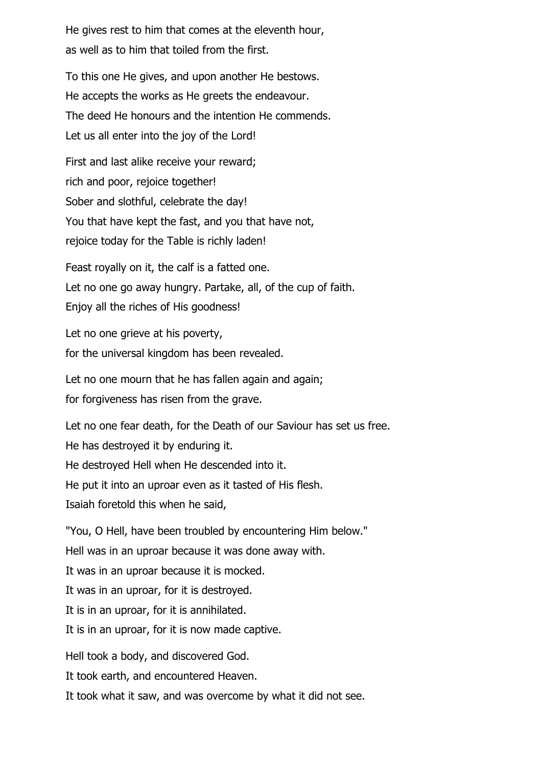He gives rest to him that comes at the eleventh hour, as well as to him that toiled from the first.

To this one He gives, and upon another He bestows. He accepts the works as He greets the endeavour. The deed He honours and the intention He commends. Let us all enter into the joy of the Lord!

First and last alike receive your reward; rich and poor, rejoice together! Sober and slothful, celebrate the day! You that have kept the fast, and you that have not, rejoice today for the Table is richly laden!

Feast royally on it, the calf is a fatted one. Let no one go away hungry. Partake, all, of the cup of faith. Enjoy all the riches of His goodness!

Let no one grieve at his poverty, for the universal kingdom has been revealed.

Let no one mourn that he has fallen again and again; for forgiveness has risen from the grave.

Let no one fear death, for the Death of our Saviour has set us free. He has destroyed it by enduring it. He destroyed Hell when He descended into it. He put it into an uproar even as it tasted of His flesh. Isaiah foretold this when he said,

"You, O Hell, have been troubled by encountering Him below." Hell was in an uproar because it was done away with. It was in an uproar because it is mocked. It was in an uproar, for it is destroyed. It is in an uproar, for it is annihilated. It is in an uproar, for it is now made captive. Hell took a body, and discovered God. It took earth, and encountered Heaven.

It took what it saw, and was overcome by what it did not see.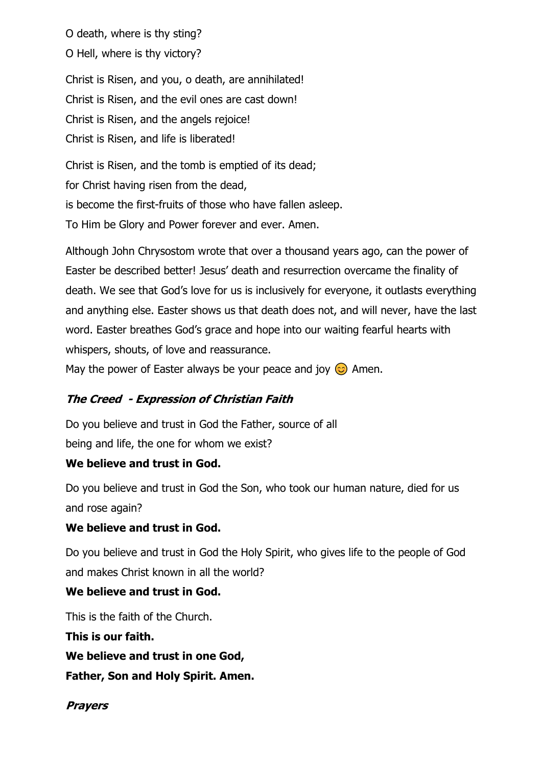O death, where is thy sting?

O Hell, where is thy victory?

Christ is Risen, and you, o death, are annihilated! Christ is Risen, and the evil ones are cast down! Christ is Risen, and the angels rejoice! Christ is Risen, and life is liberated!

Christ is Risen, and the tomb is emptied of its dead; for Christ having risen from the dead, is become the first-fruits of those who have fallen asleep. To Him be Glory and Power forever and ever. Amen.

Although John Chrysostom wrote that over a thousand years ago, can the power of Easter be described better! Jesus' death and resurrection overcame the finality of death. We see that God's love for us is inclusively for everyone, it outlasts everything and anything else. Easter shows us that death does not, and will never, have the last word. Easter breathes God's grace and hope into our waiting fearful hearts with whispers, shouts, of love and reassurance.

May the power of Easter always be your peace and joy  $\odot$  Amen.

# **The Creed - Expression of Christian Faith**

Do you believe and trust in God the Father, source of all being and life, the one for whom we exist?

# **We believe and trust in God.**

Do you believe and trust in God the Son, who took our human nature, died for us and rose again?

# **We believe and trust in God.**

Do you believe and trust in God the Holy Spirit, who gives life to the people of God and makes Christ known in all the world?

# **We believe and trust in God.**

This is the faith of the Church.

**This is our faith.** 

**We believe and trust in one God,** 

**Father, Son and Holy Spirit. Amen.**

**Prayers**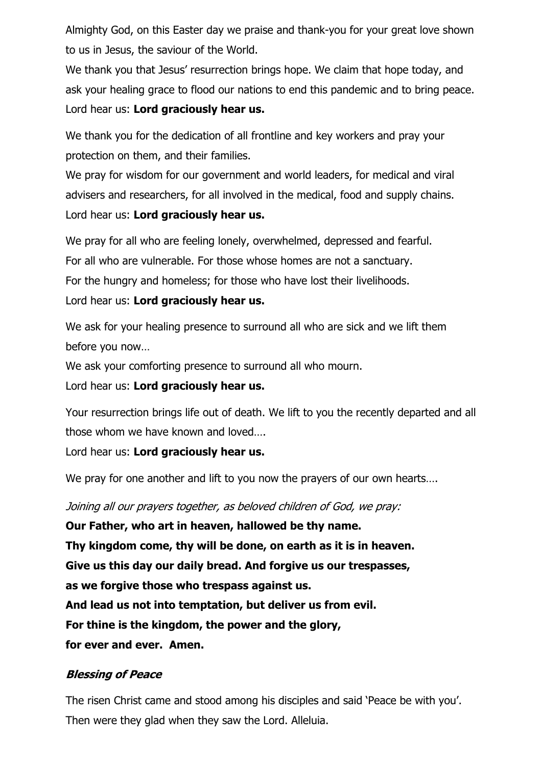Almighty God, on this Easter day we praise and thank-you for your great love shown to us in Jesus, the saviour of the World.

We thank you that Jesus' resurrection brings hope. We claim that hope today, and ask your healing grace to flood our nations to end this pandemic and to bring peace. Lord hear us: **Lord graciously hear us.**

We thank you for the dedication of all frontline and key workers and pray your protection on them, and their families.

We pray for wisdom for our government and world leaders, for medical and viral advisers and researchers, for all involved in the medical, food and supply chains. Lord hear us: **Lord graciously hear us.**

We pray for all who are feeling lonely, overwhelmed, depressed and fearful. For all who are vulnerable. For those whose homes are not a sanctuary. For the hungry and homeless; for those who have lost their livelihoods. Lord hear us: **Lord graciously hear us.**

We ask for your healing presence to surround all who are sick and we lift them before you now…

We ask your comforting presence to surround all who mourn.

Lord hear us: **Lord graciously hear us.**

Your resurrection brings life out of death. We lift to you the recently departed and all those whom we have known and loved….

Lord hear us: **Lord graciously hear us.**

We pray for one another and lift to you now the prayers of our own hearts...

Joining all our prayers together, as beloved children of God, we pray: **Our Father, who art in heaven, hallowed be thy name. Thy kingdom come, thy will be done, on earth as it is in heaven. Give us this day our daily bread. And forgive us our trespasses, as we forgive those who trespass against us. And lead us not into temptation, but deliver us from evil. For thine is the kingdom, the power and the glory, for ever and ever. Amen.**

### **Blessing of Peace**

The risen Christ came and stood among his disciples and said 'Peace be with you'. Then were they glad when they saw the Lord. Alleluia.